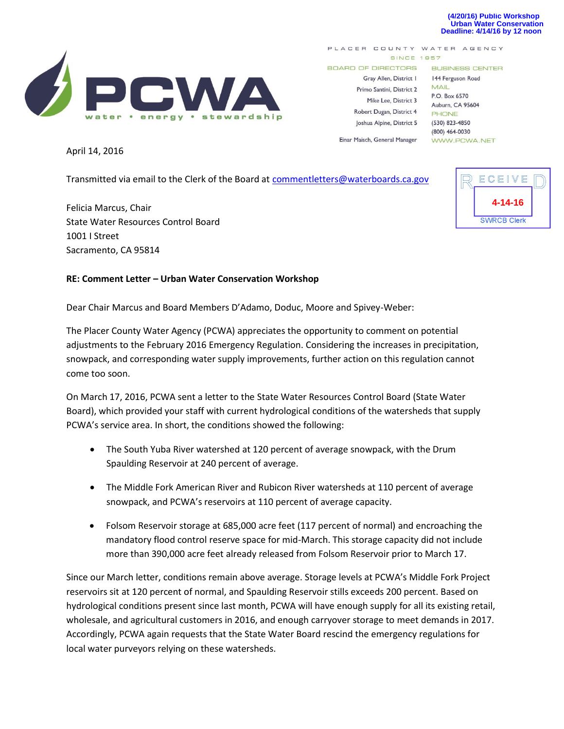#### **(4/20/16) Public Workshop Urban Water Conservation Deadline: 4/14/16 by 12 noon**



PLACER COUNTY WATER AGENCY **SINCE 1957** 

**BOARD OF DIRECTORS** 

Gray Allen, District I Primo Santini, District 2 Mike Lee, District 3 Robert Dugan, District 4 Joshua Alpine, District 5

Einar Maisch, General Manager

**BUSINESS CENTER** 144 Ferguson Road

**MAIL** P.O. Box 6570 Auburn, CA 95604 PHONE (530) 823-4850 (800) 464-0030 WWW.PCWA.NET

April 14, 2016

Transmitted via email to the Clerk of the Board a[t commentletters@waterboards.ca.gov](mailto:commentletters@waterboards.ca.gov)

Felicia Marcus, Chair State Water Resources Control Board 1001 I Street Sacramento, CA 95814

#### **RE: Comment Letter – Urban Water Conservation Workshop**

Dear Chair Marcus and Board Members D'Adamo, Doduc, Moore and Spivey-Weber:

The Placer County Water Agency (PCWA) appreciates the opportunity to comment on potential adjustments to the February 2016 Emergency Regulation. Considering the increases in precipitation, snowpack, and corresponding water supply improvements, further action on this regulation cannot come too soon.

On March 17, 2016, PCWA sent a letter to the State Water Resources Control Board (State Water Board), which provided your staff with current hydrological conditions of the watersheds that supply PCWA's service area. In short, the conditions showed the following:

- The South Yuba River watershed at 120 percent of average snowpack, with the Drum Spaulding Reservoir at 240 percent of average.
- The Middle Fork American River and Rubicon River watersheds at 110 percent of average snowpack, and PCWA's reservoirs at 110 percent of average capacity.
- Folsom Reservoir storage at 685,000 acre feet (117 percent of normal) and encroaching the mandatory flood control reserve space for mid-March. This storage capacity did not include more than 390,000 acre feet already released from Folsom Reservoir prior to March 17.

Since our March letter, conditions remain above average. Storage levels at PCWA's Middle Fork Project reservoirs sit at 120 percent of normal, and Spaulding Reservoir stills exceeds 200 percent. Based on hydrological conditions present since last month, PCWA will have enough supply for all its existing retail, wholesale, and agricultural customers in 2016, and enough carryover storage to meet demands in 2017. Accordingly, PCWA again requests that the State Water Board rescind the emergency regulations for local water purveyors relying on these watersheds.

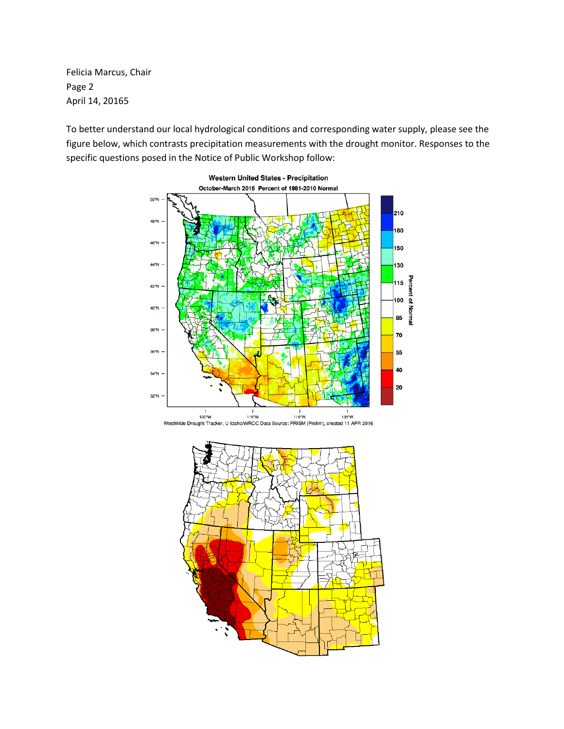Felicia Marcus, Chair Page 2 April 14, 20165

To better understand our local hydrological conditions and corresponding water supply, please see the figure below, which contrasts precipitation measurements with the drought monitor. Responses to the specific questions posed in the Notice of Public Workshop follow: